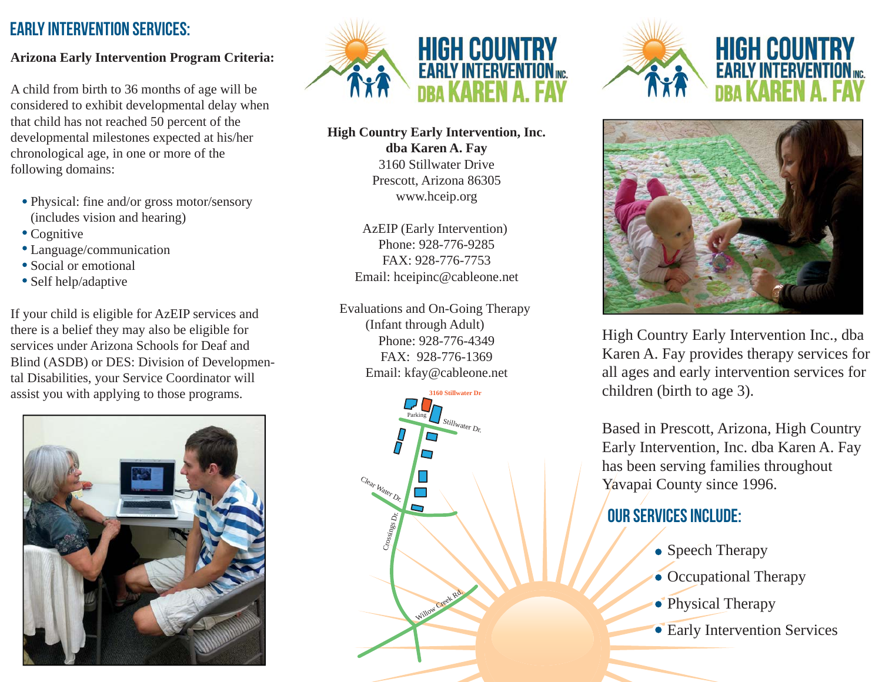### EARLY INTERVENTION SERVICES:

#### **Arizona Early Intervention Program Criteria:**

A child from birth to 36 months of age will be considered to exhibit developmental delay when that child has not reached 50 percent of the developmental milestones expected at his/her chronological age, in one or more of the following domains:

- Physical: fine and/or gross motor/sensory (includes vision and hearing)
- Cognitive
- Language/communication
- Social or emotional
- Self help/adaptive

If your child is eligible for AzEIP services and there is a belief they may also be eligible for services under Arizona Schools for Deaf and Blind (ASDB) or DES: Division of Developmental Disabilities, your Service Coordinator will assist you with applying to those programs.





#### **High Country Early Intervention, Inc. dba Karen A. Fay** 3160 Stillwater DrivePrescott, Arizona 86305 www.hceip.org

AzEIP (Early Intervention) Phone: 928-776-9285FAX: 928-776-7753Email: hceipinc@cableone.net

Evaluations and On-Going Therapy (Infant through Adult) Phone: 928-776-4349FAX: 928-776-1369Email: kfay@cableone.net









High Country Early Intervention Inc., dba Karen A. Fay provides therapy services for all ages and early intervention services for children (birth to age 3).

Based in Prescott, Arizona, High Country Early Intervention, Inc. dba Karen A. Fay has been serving families throughout Yavapai County since 1996.

# OUR SERVICES INCLUDE:

- Speech Therapy
- Occupational Therapy
- Physical Therapy
- Early Intervention Services